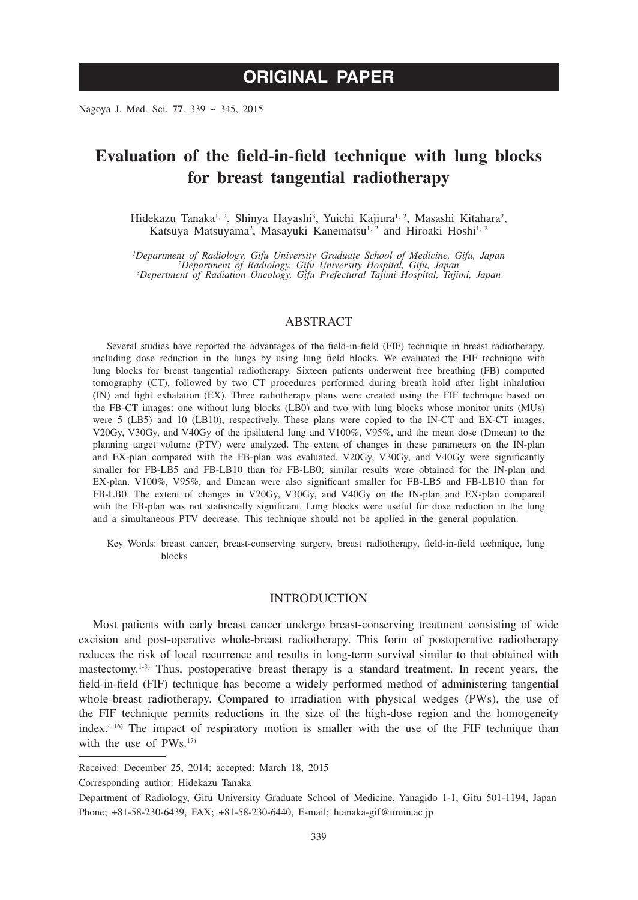# **ORIGINAL PAPER**

Nagoya J. Med. Sci. **77**. 339 ~ 345, 2015

## **Evaluation of the field-in-field technique with lung blocks for breast tangential radiotherapy**

Hidekazu Tanaka<sup>1, 2</sup>, Shinya Hayashi<sup>3</sup>, Yuichi Kajiura<sup>1, 2</sup>, Masashi Kitahara<sup>2</sup>, Katsuya Matsuyama<sup>2</sup>, Masayuki Kanematsu<sup>1, 2</sup> and Hiroaki Hoshi<sup>1, 2</sup>

*1 Department of Radiology, Gifu University Graduate School of Medicine, Gifu, Japan <sup>2</sup> Department of Radiology, Gifu University Hospital, Gifu, Japan <sup>3</sup> Depertment of Radiation Oncology, Gifu Prefectural Tajimi Hospital, Tajimi, Japan*

### ABSTRACT

Several studies have reported the advantages of the field-in-field (FIF) technique in breast radiotherapy, including dose reduction in the lungs by using lung field blocks. We evaluated the FIF technique with lung blocks for breast tangential radiotherapy. Sixteen patients underwent free breathing (FB) computed tomography (CT), followed by two CT procedures performed during breath hold after light inhalation (IN) and light exhalation (EX). Three radiotherapy plans were created using the FIF technique based on the FB-CT images: one without lung blocks (LB0) and two with lung blocks whose monitor units (MUs) were 5 (LB5) and 10 (LB10), respectively. These plans were copied to the IN-CT and EX-CT images. V20Gy, V30Gy, and V40Gy of the ipsilateral lung and V100%, V95%, and the mean dose (Dmean) to the planning target volume (PTV) were analyzed. The extent of changes in these parameters on the IN-plan and EX-plan compared with the FB-plan was evaluated. V20Gy, V30Gy, and V40Gy were significantly smaller for FB-LB5 and FB-LB10 than for FB-LB0; similar results were obtained for the IN-plan and EX-plan. V100%, V95%, and Dmean were also significant smaller for FB-LB5 and FB-LB10 than for FB-LB0. The extent of changes in V20Gy, V30Gy, and V40Gy on the IN-plan and EX-plan compared with the FB-plan was not statistically significant. Lung blocks were useful for dose reduction in the lung and a simultaneous PTV decrease. This technique should not be applied in the general population.

Key Words: breast cancer, breast-conserving surgery, breast radiotherapy, field-in-field technique, lung blocks

#### INTRODUCTION

Most patients with early breast cancer undergo breast-conserving treatment consisting of wide excision and post-operative whole-breast radiotherapy. This form of postoperative radiotherapy reduces the risk of local recurrence and results in long-term survival similar to that obtained with mastectomy.1-3) Thus, postoperative breast therapy is a standard treatment. In recent years, the field-in-field (FIF) technique has become a widely performed method of administering tangential whole-breast radiotherapy. Compared to irradiation with physical wedges (PWs), the use of the FIF technique permits reductions in the size of the high-dose region and the homogeneity index.4-16) The impact of respiratory motion is smaller with the use of the FIF technique than with the use of PWs.<sup>17)</sup>

Corresponding author: Hidekazu Tanaka

Received: December 25, 2014; accepted: March 18, 2015

Department of Radiology, Gifu University Graduate School of Medicine, Yanagido 1-1, Gifu 501-1194, Japan Phone; +81-58-230-6439, FAX; +81-58-230-6440, E-mail; htanaka-gif@umin.ac.jp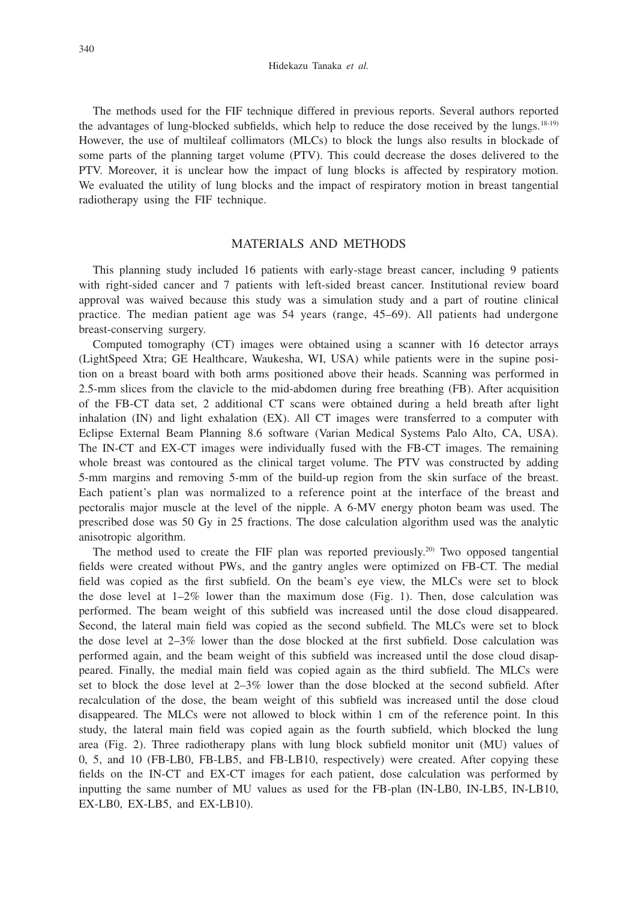Hidekazu Tanaka *et al.*

The methods used for the FIF technique differed in previous reports. Several authors reported the advantages of lung-blocked subfields, which help to reduce the dose received by the lungs.18-19) However, the use of multileaf collimators (MLCs) to block the lungs also results in blockade of some parts of the planning target volume (PTV). This could decrease the doses delivered to the PTV. Moreover, it is unclear how the impact of lung blocks is affected by respiratory motion. We evaluated the utility of lung blocks and the impact of respiratory motion in breast tangential radiotherapy using the FIF technique.

## MATERIALS AND METHODS

This planning study included 16 patients with early-stage breast cancer, including 9 patients with right-sided cancer and 7 patients with left-sided breast cancer. Institutional review board approval was waived because this study was a simulation study and a part of routine clinical practice. The median patient age was 54 years (range, 45–69). All patients had undergone breast-conserving surgery.

Computed tomography (CT) images were obtained using a scanner with 16 detector arrays (LightSpeed Xtra; GE Healthcare, Waukesha, WI, USA) while patients were in the supine position on a breast board with both arms positioned above their heads. Scanning was performed in 2.5-mm slices from the clavicle to the mid-abdomen during free breathing (FB). After acquisition of the FB-CT data set, 2 additional CT scans were obtained during a held breath after light inhalation (IN) and light exhalation (EX). All CT images were transferred to a computer with Eclipse External Beam Planning 8.6 software (Varian Medical Systems Palo Alto, CA, USA). The IN-CT and EX-CT images were individually fused with the FB-CT images. The remaining whole breast was contoured as the clinical target volume. The PTV was constructed by adding 5-mm margins and removing 5-mm of the build-up region from the skin surface of the breast. Each patient's plan was normalized to a reference point at the interface of the breast and pectoralis major muscle at the level of the nipple. A 6-MV energy photon beam was used. The prescribed dose was 50 Gy in 25 fractions. The dose calculation algorithm used was the analytic anisotropic algorithm.

The method used to create the FIF plan was reported previously.<sup>20)</sup> Two opposed tangential fields were created without PWs, and the gantry angles were optimized on FB-CT. The medial field was copied as the first subfield. On the beam's eye view, the MLCs were set to block the dose level at  $1-2\%$  lower than the maximum dose (Fig. 1). Then, dose calculation was performed. The beam weight of this subfield was increased until the dose cloud disappeared. Second, the lateral main field was copied as the second subfield. The MLCs were set to block the dose level at 2–3% lower than the dose blocked at the first subfield. Dose calculation was performed again, and the beam weight of this subfield was increased until the dose cloud disappeared. Finally, the medial main field was copied again as the third subfield. The MLCs were set to block the dose level at 2–3% lower than the dose blocked at the second subfield. After recalculation of the dose, the beam weight of this subfield was increased until the dose cloud disappeared. The MLCs were not allowed to block within 1 cm of the reference point. In this study, the lateral main field was copied again as the fourth subfield, which blocked the lung area (Fig. 2). Three radiotherapy plans with lung block subfield monitor unit (MU) values of 0, 5, and 10 (FB-LB0, FB-LB5, and FB-LB10, respectively) were created. After copying these fields on the IN-CT and EX-CT images for each patient, dose calculation was performed by inputting the same number of MU values as used for the FB-plan (IN-LB0, IN-LB5, IN-LB10, EX-LB0, EX-LB5, and EX-LB10).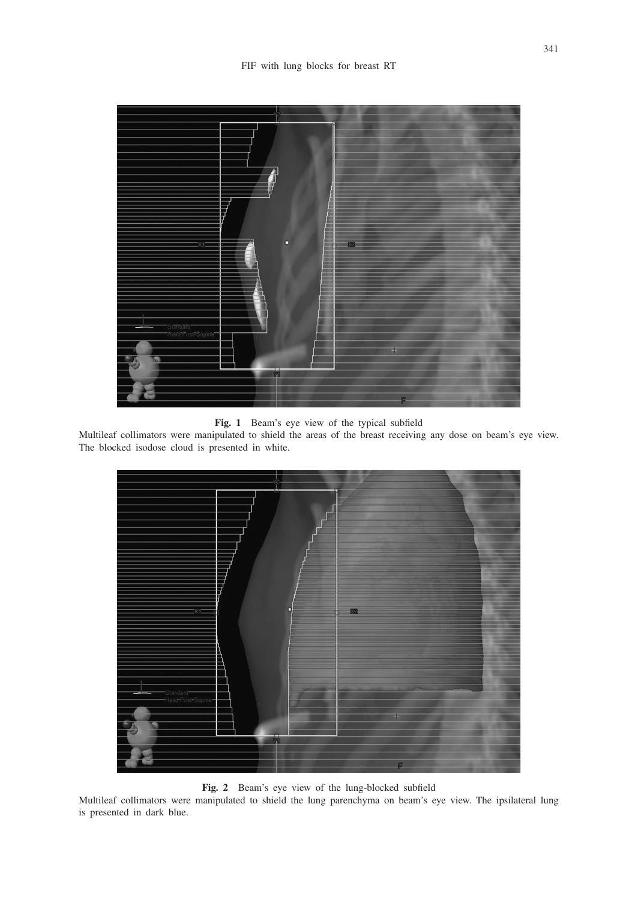

**Fig. 1** Beam's eye view of the typical subfield

Multileaf collimators were manipulated to shield the areas of the breast receiving any dose on beam's eye view. The blocked isodose cloud is presented in white.



**Fig. 2** Beam's eye view of the lung-blocked subfield

Multileaf collimators were manipulated to shield the lung parenchyma on beam's eye view. The ipsilateral lung is presented in dark blue.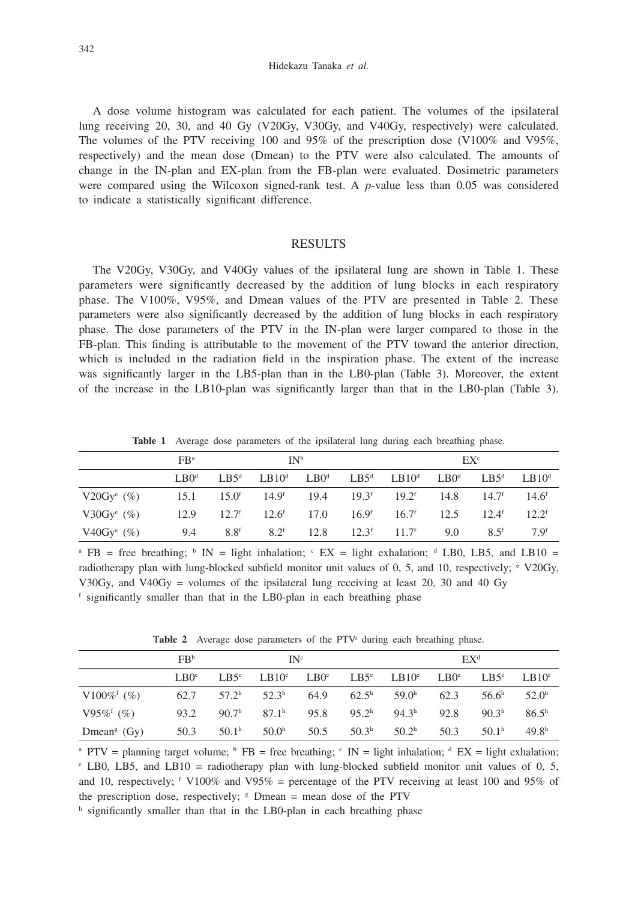Hidekazu Tanaka *et al.*

A dose volume histogram was calculated for each patient. The volumes of the ipsilateral lung receiving 20, 30, and 40 Gy (V20Gy, V30Gy, and V40Gy, respectively) were calculated. The volumes of the PTV receiving 100 and 95% of the prescription dose (V100% and V95%, respectively) and the mean dose (Dmean) to the PTV were also calculated. The amounts of change in the IN-plan and EX-plan from the FB-plan were evaluated. Dosimetric parameters were compared using the Wilcoxon signed-rank test. A *p*-value less than 0.05 was considered to indicate a statistically significant difference.

### RESULTS

The V20Gy, V30Gy, and V40Gy values of the ipsilateral lung are shown in Table 1. These parameters were significantly decreased by the addition of lung blocks in each respiratory phase. The V100%, V95%, and Dmean values of the PTV are presented in Table 2. These parameters were also significantly decreased by the addition of lung blocks in each respiratory phase. The dose parameters of the PTV in the IN-plan were larger compared to those in the FB-plan. This finding is attributable to the movement of the PTV toward the anterior direction, which is included in the radiation field in the inspiration phase. The extent of the increase was significantly larger in the LB5-plan than in the LB0-plan (Table 3). Moreover, the extent of the increase in the LB10-plan was significantly larger than that in the LB0-plan (Table 3).

**Table 1** Average dose parameters of the ipsilateral lung during each breathing phase.

|                           | FB <sup>a</sup> |                  | IN <sup>b</sup>                                                                        |      |                   |      | $EX^c$         |                 |
|---------------------------|-----------------|------------------|----------------------------------------------------------------------------------------|------|-------------------|------|----------------|-----------------|
|                           | $L$ B $Od$      |                  | $L B 5^d$ $L B 10^d$ $L B 0^d$ $L B 5^d$ $L B 10^d$ $L B 0^d$ $L B 10^d$ $L B 10^d$    |      |                   |      |                |                 |
| V20Gy <sup>e</sup> $(\%)$ | 15.1            |                  | $15.0^{\text{f}}$ $14.9^{\text{f}}$ $19.4$ $19.3^{\text{f}}$ $19.2^{\text{f}}$ $14.8$  |      |                   |      | $14.7^{\rm f}$ | $14.6^{\rm f}$  |
| V30Gy <sup>e</sup> $(\%)$ | 12.9            |                  | $12.7^{\mathrm{f}}$ $12.6^{\mathrm{f}}$ $17.0$ $16.9^{\mathrm{f}}$ $16.7^{\mathrm{f}}$ |      |                   | 12.5 | $12.4^{\rm f}$ | $12.2^{\rm f}$  |
| V40Gy <sup>e</sup> $(\%)$ | 9.4             | 8.8 <sup>f</sup> | 8.2 <sup>f</sup>                                                                       | 12.8 | $12.3^f$ $11.7^f$ | 9.0  | $8.5^{\rm f}$  | 7 <sub>qf</sub> |

<sup>a</sup> FB = free breathing;  $\frac{1}{2}$  IN = light inhalation;  $\frac{1}{2}$  EX = light exhalation;  $\frac{1}{2}$  LB0, LB5, and LB10 = radiotherapy plan with lung-blocked subfield monitor unit values of 0, 5, and 10, respectively; e V20Gy, V30Gy, and V40Gy = volumes of the ipsilateral lung receiving at least 20, 30 and 40 Gy <sup>f</sup> significantly smaller than that in the LB0-plan in each breathing phase

Table 2 Average dose parameters of the PTV<sup>a</sup> during each breathing phase.

|                           | FB <sup>b</sup> | IN <sup>c</sup>   |                   |                  | $EX^d$            |                                |      |                         |                   |
|---------------------------|-----------------|-------------------|-------------------|------------------|-------------------|--------------------------------|------|-------------------------|-------------------|
|                           | $L^{\text{B}}$  | $L\cdot B5^e$     | LB10 <sup>e</sup> | LBO <sup>e</sup> |                   | $L B 5^e$ $L B 10^e$ $L B 0^e$ |      | $L\text{B}5^{\text{e}}$ | $L \cdot B 10^e$  |
| V100% <sup>f</sup> (%)    | 62.7            | $57.2^{\rm h}$    | 52.3 <sup>h</sup> | 64.9             | $62.5^{\rm h}$    | 59.0 <sup>h</sup>              | 62.3 | 56.6 <sup>h</sup>       | 52.0 <sup>h</sup> |
| $V95\%$ <sup>f</sup> (%)  | 93.2            | 90.7 <sup>h</sup> | 87.1 <sup>h</sup> | 95.8             | 95.2 <sup>h</sup> | 94.3 <sup>h</sup>              | 92.8 | 90.3 <sup>h</sup>       | 86.5 <sup>h</sup> |
| Dmean <sup>g</sup> $(Gy)$ | 50.3            | 50.1 <sup>h</sup> | 50.0 <sup>h</sup> | 50.5             | 50.3 <sup>h</sup> | 50.2 <sup>h</sup>              | 50.3 | 50.1 <sup>h</sup>       | 49.8 <sup>h</sup> |

<sup>a</sup> PTV = planning target volume; <sup>b</sup> FB = free breathing;  $\textdegree$  IN = light inhalation;  $\textdegree$  EX = light exhalation; <sup>e</sup> LB0, LB5, and LB10 = radiotherapy plan with lung-blocked subfield monitor unit values of 0, 5, and 10, respectively; f V100% and V95% = percentage of the PTV receiving at least 100 and 95% of the prescription dose, respectively;  $\epsilon$  Dmean = mean dose of the PTV

h significantly smaller than that in the LB0-plan in each breathing phase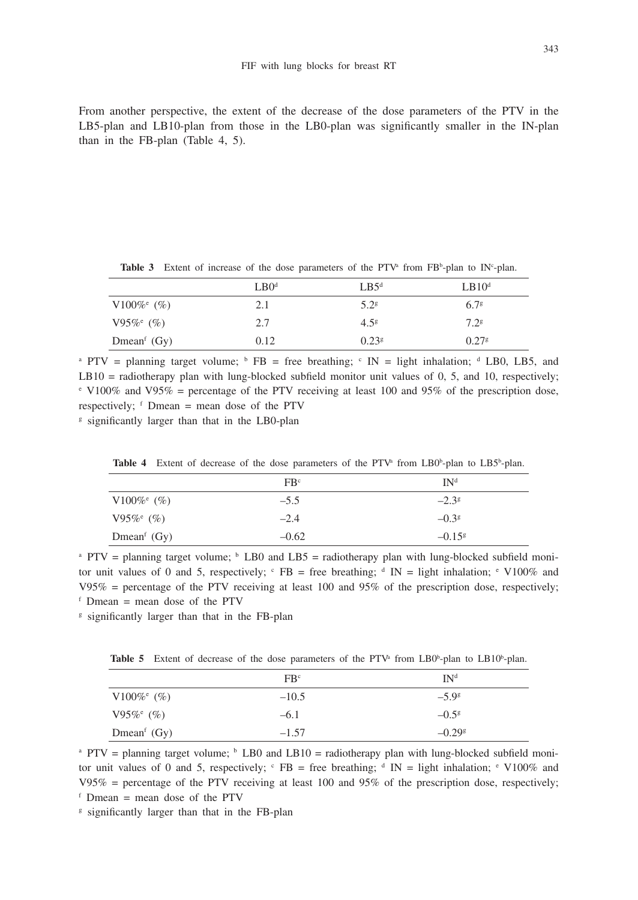From another perspective, the extent of the decrease of the dose parameters of the PTV in the LB5-plan and LB10-plan from those in the LB0-plan was significantly smaller in the IN-plan than in the FB-plan (Table 4, 5).

|                          | $L$ B $0d$ | $L$ B5 <sup>d</sup> | LB10 <sup>d</sup> |
|--------------------------|------------|---------------------|-------------------|
| V100% $\frac{6}{6}$ (%)  | 2.1        | 5.2 <sup>g</sup>    | 6.7 <sup>g</sup>  |
| $V95\%$ <sup>e</sup> (%) | 2.7        | 4.5 <sup>g</sup>    | 7.2 <sup>g</sup>  |
| Dmean <sup>f</sup> (Gy)  | 0.12       | $0.23$ <sup>g</sup> | 0.27 <sup>g</sup> |

**Table 3** Extent of increase of the dose parameters of the PTV<sup>a</sup> from  $FB<sup>b</sup>$ -plan to IN<sup>c</sup>-plan.

<sup>a</sup> PTV = planning target volume;  $\overline{P}$  FB = free breathing;  $\overline{C}$  IN = light inhalation; <sup>d</sup> LB0, LB5, and LB10 = radiotherapy plan with lung-blocked subfield monitor unit values of 0, 5, and 10, respectively;  $\degree$  V100% and V95% = percentage of the PTV receiving at least 100 and 95% of the prescription dose, respectively;  $f$  Dmean = mean dose of the PTV

<sup>g</sup> significantly larger than that in the LB0-plan

|                                      | FB <sup>c</sup> | IN <sup>d</sup>      |
|--------------------------------------|-----------------|----------------------|
| V100% $^{\circ}$ (%)                 | $-5.5$          | $-2.3^{\circ}$       |
| $V95\%$ <sup>e</sup> (%)             | $-2.4$          | $-0.38$              |
| Dmean <sup><math>f</math></sup> (Gy) | $-0.62$         | $-0.15$ <sup>g</sup> |

**Table 4** Extent of decrease of the dose parameters of the PTV<sup>a</sup> from LB0<sup>b</sup>-plan to LB5<sup>b</sup>-plan.

<sup>a</sup> PTV = planning target volume;  $\frac{b}{c}$  LB0 and LB5 = radiotherapy plan with lung-blocked subfield monitor unit values of 0 and 5, respectively;  $\epsilon$  FB = free breathing;  $\epsilon$  IN = light inhalation;  $\epsilon$  V100% and  $V95\%$  = percentage of the PTV receiving at least 100 and 95% of the prescription dose, respectively;  $f$  Dmean = mean dose of the PTV

<sup>g</sup> significantly larger than that in the FB-plan

**Table 5** Extent of decrease of the dose parameters of the PTV<sup>a</sup> from LB0<sup>b</sup>-plan to LB10<sup>b</sup>-plan.

|                                      | FB <sup>c</sup> | IN <sup>d</sup>      |
|--------------------------------------|-----------------|----------------------|
| $V100\%$ <sup>e</sup> (%)            | $-10.5$         | $-5.9^{\circ}$       |
| $V95\%$ <sup>e</sup> (%)             | $-6.1$          | $-0.5^g$             |
| Dmean <sup><math>f</math></sup> (Gy) | $-1.57$         | $-0.29$ <sup>g</sup> |

<sup>a</sup> PTV = planning target volume; <sup>b</sup> LB0 and LB10 = radiotherapy plan with lung-blocked subfield monitor unit values of 0 and 5, respectively;  $\epsilon$  FB = free breathing;  $\epsilon$  IN = light inhalation;  $\epsilon$  V100% and  $V95\%$  = percentage of the PTV receiving at least 100 and 95% of the prescription dose, respectively;  $f$  Dmean = mean dose of the PTV

 $\frac{g}{g}$  significantly larger than that in the FB-plan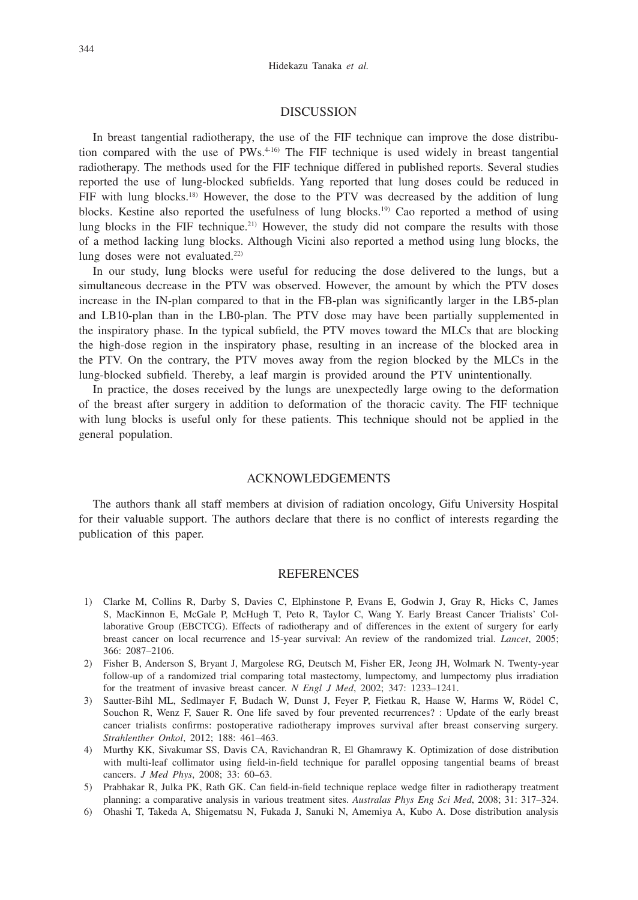#### DISCUSSION

In breast tangential radiotherapy, the use of the FIF technique can improve the dose distribution compared with the use of  $PWs^{4-16}$ . The FIF technique is used widely in breast tangential radiotherapy. The methods used for the FIF technique differed in published reports. Several studies reported the use of lung-blocked subfields. Yang reported that lung doses could be reduced in FIF with lung blocks.18) However, the dose to the PTV was decreased by the addition of lung blocks. Kestine also reported the usefulness of lung blocks.<sup>19)</sup> Cao reported a method of using lung blocks in the FIF technique.<sup>21)</sup> However, the study did not compare the results with those of a method lacking lung blocks. Although Vicini also reported a method using lung blocks, the lung doses were not evaluated.<sup>22)</sup>

In our study, lung blocks were useful for reducing the dose delivered to the lungs, but a simultaneous decrease in the PTV was observed. However, the amount by which the PTV doses increase in the IN-plan compared to that in the FB-plan was significantly larger in the LB5-plan and LB10-plan than in the LB0-plan. The PTV dose may have been partially supplemented in the inspiratory phase. In the typical subfield, the PTV moves toward the MLCs that are blocking the high-dose region in the inspiratory phase, resulting in an increase of the blocked area in the PTV. On the contrary, the PTV moves away from the region blocked by the MLCs in the lung-blocked subfield. Thereby, a leaf margin is provided around the PTV unintentionally.

In practice, the doses received by the lungs are unexpectedly large owing to the deformation of the breast after surgery in addition to deformation of the thoracic cavity. The FIF technique with lung blocks is useful only for these patients. This technique should not be applied in the general population.

#### ACKNOWLEDGEMENTS

The authors thank all staff members at division of radiation oncology, Gifu University Hospital for their valuable support. The authors declare that there is no conflict of interests regarding the publication of this paper.

#### **REFERENCES**

- 1) Clarke M, Collins R, Darby S, Davies C, Elphinstone P, Evans E, Godwin J, Gray R, Hicks C, James S, MacKinnon E, McGale P, McHugh T, Peto R, Taylor C, Wang Y. Early Breast Cancer Trialists' Collaborative Group (EBCTCG). Effects of radiotherapy and of differences in the extent of surgery for early breast cancer on local recurrence and 15-year survival: An review of the randomized trial. *Lancet*, 2005; 366: 2087–2106.
- 2) Fisher B, Anderson S, Bryant J, Margolese RG, Deutsch M, Fisher ER, Jeong JH, Wolmark N. Twenty-year follow-up of a randomized trial comparing total mastectomy, lumpectomy, and lumpectomy plus irradiation for the treatment of invasive breast cancer. *N Engl J Med*, 2002; 347: 1233–1241.
- 3) Sautter-Bihl ML, Sedlmayer F, Budach W, Dunst J, Feyer P, Fietkau R, Haase W, Harms W, Rödel C, Souchon R, Wenz F, Sauer R. One life saved by four prevented recurrences? : Update of the early breast cancer trialists confirms: postoperative radiotherapy improves survival after breast conserving surgery. *Strahlenther Onkol*, 2012; 188: 461–463.
- 4) Murthy KK, Sivakumar SS, Davis CA, Ravichandran R, El Ghamrawy K. Optimization of dose distribution with multi-leaf collimator using field-in-field technique for parallel opposing tangential beams of breast cancers. *J Med Phys*, 2008; 33: 60–63.
- 5) Prabhakar R, Julka PK, Rath GK. Can field-in-field technique replace wedge filter in radiotherapy treatment planning: a comparative analysis in various treatment sites. *Australas Phys Eng Sci Med*, 2008; 31: 317–324.
- 6) Ohashi T, Takeda A, Shigematsu N, Fukada J, Sanuki N, Amemiya A, Kubo A. Dose distribution analysis